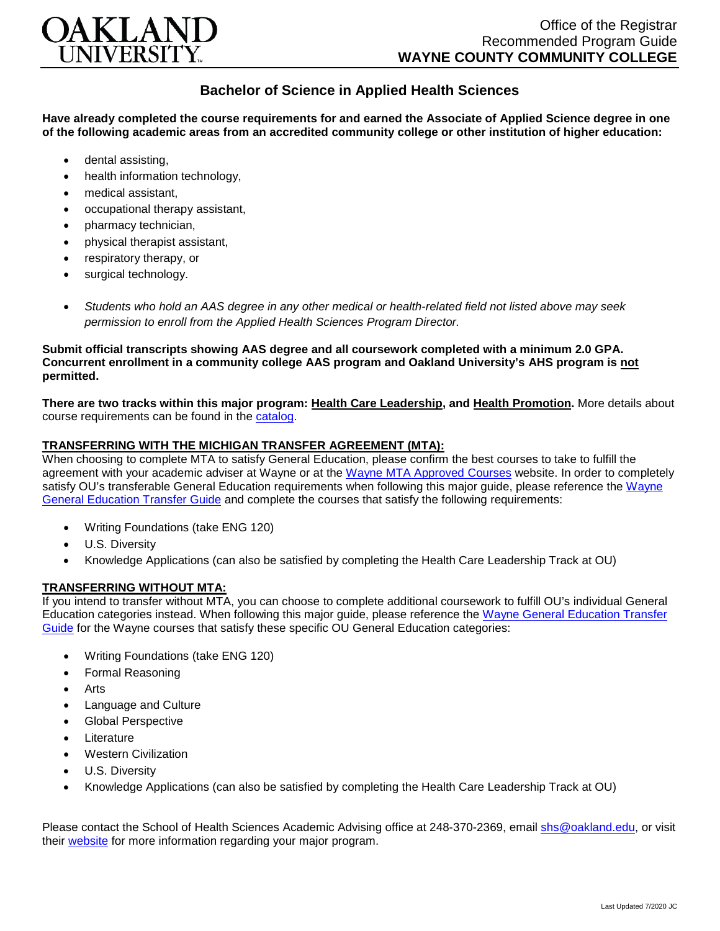

# **Bachelor of Science in Applied Health Sciences**

**Have already completed the course requirements for and earned the Associate of Applied Science degree in one of the following academic areas from an accredited community college or other institution of higher education:**

- dental assisting,
- health information technology.
- medical assistant,
- occupational therapy assistant,
- pharmacy technician,
- physical therapist assistant,
- respiratory therapy, or
- surgical technology.
- *Students who hold an AAS degree in any other medical or health-related field not listed above may seek permission to enroll from the Applied Health Sciences Program Director.*

#### **Submit official transcripts showing AAS degree and all coursework completed with a minimum 2.0 GPA. Concurrent enrollment in a community college AAS program and Oakland University's AHS program is not permitted.**

**There are two tracks within this major program: Health Care Leadership, and Health Promotion.** More details about course requirements can be found in the [catalog.](http://catalog.oakland.edu/preview_program.php?catoid=49&poid=8362)

#### **TRANSFERRING WITH THE MICHIGAN TRANSFER AGREEMENT (MTA):**

When choosing to complete MTA to satisfy General Education, please confirm the best courses to take to fulfill the agreement with your academic adviser at Wayne or at the Wayne [MTA Approved Courses](http://www.wcccd.edu/students/pp_transfer_agreement.html) website. In order to completely satisfy OU's transferable General Education requirements when following this major guide, please reference the [Wayne](https://www.oakland.edu/Assets/Oakland/program-guides/wayne-county-community-college/university-general-education-requirements/Wayne%20Gen%20Ed.pdf)  [General Education Transfer Guide](https://www.oakland.edu/Assets/Oakland/program-guides/wayne-county-community-college/university-general-education-requirements/Wayne%20Gen%20Ed.pdf) and complete the courses that satisfy the following requirements:

- Writing Foundations (take ENG 120)
- U.S. Diversity
- Knowledge Applications (can also be satisfied by completing the Health Care Leadership Track at OU)

### **TRANSFERRING WITHOUT MTA:**

If you intend to transfer without MTA, you can choose to complete additional coursework to fulfill OU's individual General Education categories instead. When following this major guide, please reference the [Wayne General Education Transfer](https://www.oakland.edu/Assets/Oakland/program-guides/wayne-county-community-college/university-general-education-requirements/Wayne%20Gen%20Ed.pdf)  [Guide](https://www.oakland.edu/Assets/Oakland/program-guides/wayne-county-community-college/university-general-education-requirements/Wayne%20Gen%20Ed.pdf) for the Wayne courses that satisfy these specific OU General Education categories:

- Writing Foundations (take ENG 120)
- Formal Reasoning
- **Arts**
- Language and Culture
- Global Perspective
- **Literature**
- Western Civilization
- U.S. Diversity
- Knowledge Applications (can also be satisfied by completing the Health Care Leadership Track at OU)

Please contact the School of Health Sciences Academic Advising office at 248-370-2369, email [shs@oakland.edu,](mailto:shs@oakland.edu) or visit their [website](http://www.oakland.edu/shs/advising) for more information regarding your major program.